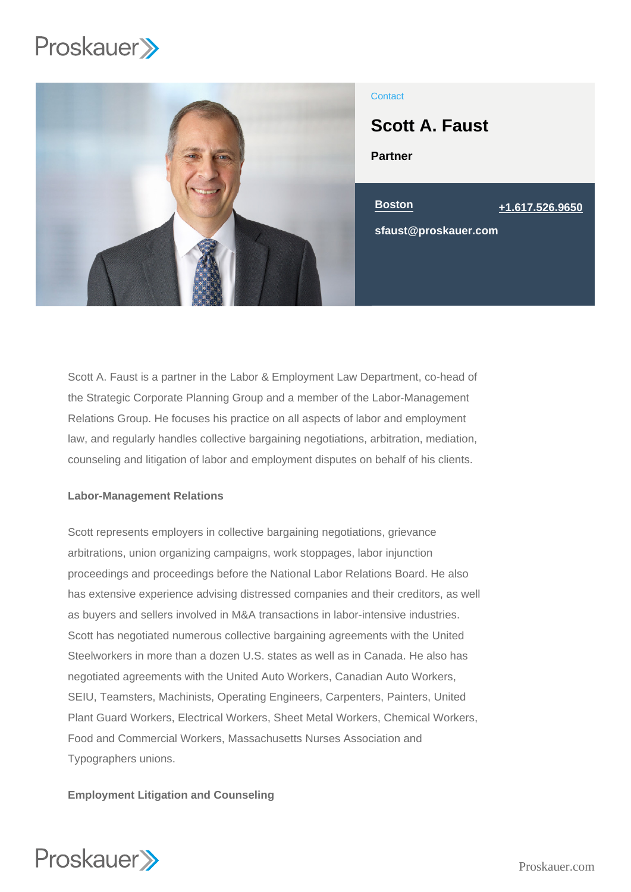

# **Contact**

Partner Scott A. Faust

Boston [+1.617.526.9650](tel:+1.617.526.9650) sfaust@proskauer.com

Scott A. Faust is a partner in the Labor & Employment Law Department, co-head of the Strategic Corporate Planning Group and a member of the Labor-Management Relations Group. He focuses his practice on all aspects of labor and employment law, and regularly handles collective bargaining negotiations, arbitration, mediation, counseling and litigation of labor and employment disputes on behalf of his clients.

## Labor-Management Relations

Scott represents employers in collective bargaining negotiations, grievance arbitrations, union organizing campaigns, work stoppages, labor injunction proceedings and proceedings before the National Labor Relations Board. He also has extensive experience advising distressed companies and their creditors, as well as buyers and sellers involved in M&A transactions in labor-intensive industries. Scott has negotiated numerous collective bargaining agreements with the United Steelworkers in more than a dozen U.S. states as well as in Canada. He also has negotiated agreements with the United Auto Workers, Canadian Auto Workers, SEIU, Teamsters, Machinists, Operating Engineers, Carpenters, Painters, United Plant Guard Workers, Electrical Workers, Sheet Metal Workers, Chemical Workers, Food and Commercial Workers, Massachusetts Nurses Association and Typographers unions.

Employment Litigation and Counseling

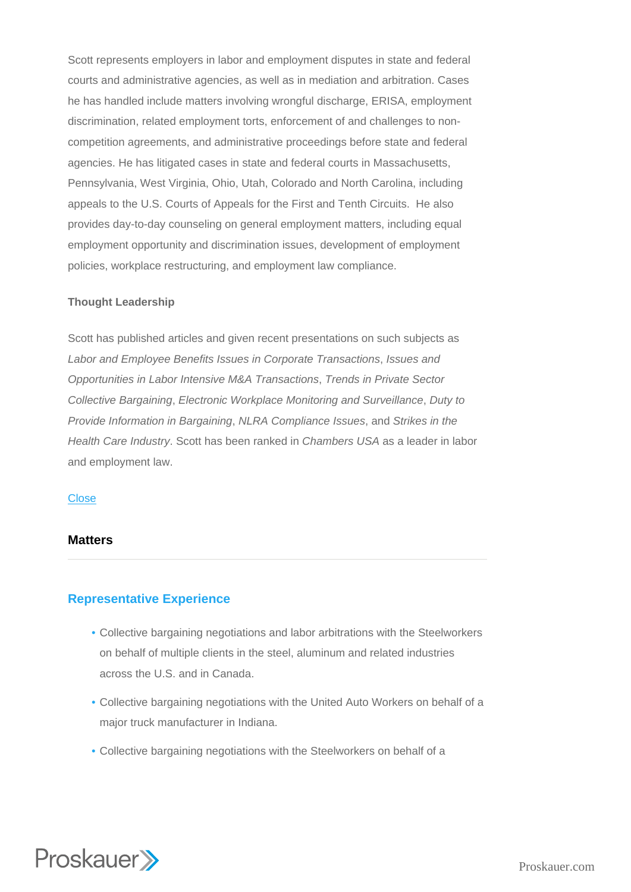Scott represents employers in labor and employment disputes in state and federal courts and administrative agencies, as well as in mediation and arbitration. Cases he has handled include matters involving wrongful discharge, ERISA, employment discrimination, related employment torts, enforcement of and challenges to noncompetition agreements, and administrative proceedings before state and federal agencies. He has litigated cases in state and federal courts in Massachusetts, Pennsylvania, West Virginia, Ohio, Utah, Colorado and North Carolina, including appeals to the U.S. Courts of Appeals for the First and Tenth Circuits. He also provides day-to-day counseling on general employment matters, including equal employment opportunity and discrimination issues, development of employment policies, workplace restructuring, and employment law compliance.

### Thought Leadership

Scott has published articles and given recent presentations on such subjects as Labor and Employee Benefits Issues in Corporate Transactions, Issues and Opportunities in Labor Intensive M&A Transactions, Trends in Private Sector Collective Bargaining, Electronic Workplace Monitoring and Surveillance, Duty to Provide Information in Bargaining, NLRA Compliance Issues, and Strikes in the Health Care Industry. Scott has been ranked in Chambers USA as a leader in labor and employment law.

### **Close**

## **Matters**

# Representative Experience

- Collective bargaining negotiations and labor arbitrations with the Steelworkers on behalf of multiple clients in the steel, aluminum and related industries across the U.S. and in Canada.
- Collective bargaining negotiations with the United Auto Workers on behalf of a major truck manufacturer in Indiana.
- Collective bargaining negotiations with the Steelworkers on behalf of a

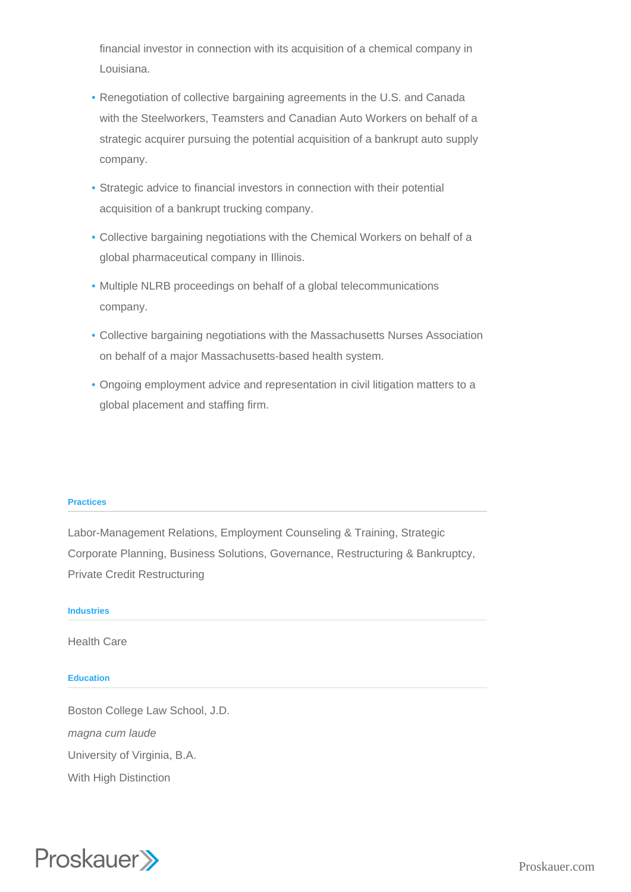financial investor in connection with its acquisition of a chemical company in Louisiana.

- Renegotiation of collective bargaining agreements in the U.S. and Canada with the Steelworkers, Teamsters and Canadian Auto Workers on behalf of a strategic acquirer pursuing the potential acquisition of a bankrupt auto supply company.
- Strategic advice to financial investors in connection with their potential acquisition of a bankrupt trucking company.
- Collective bargaining negotiations with the Chemical Workers on behalf of a global pharmaceutical company in Illinois.
- Multiple NLRB proceedings on behalf of a global telecommunications company.
- Collective bargaining negotiations with the Massachusetts Nurses Association on behalf of a major Massachusetts-based health system.
- Ongoing employment advice and representation in civil litigation matters to a global placement and staffing firm.

### **Practices**

Labor-Management Relations, Employment Counseling & Training, Strategic Corporate Planning, Business Solutions, Governance, Restructuring & Bankruptcy, Private Credit Restructuring

### **Industries**

Health Care

### **Education**

Boston College Law School, J.D. magna cum laude University of Virginia, B.A. With High Distinction